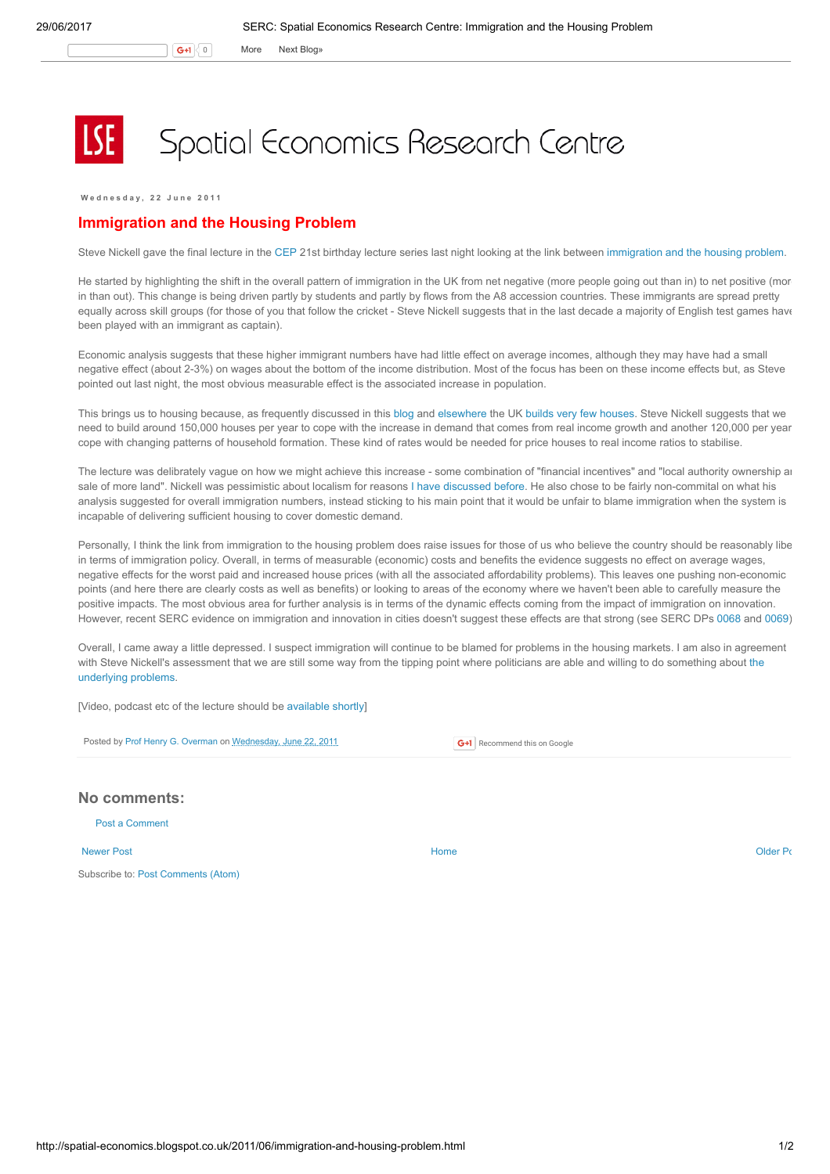G+1 0 More Next [Blog»](https://www.blogger.com/next-blog?navBar=true&blogID=974562301377041914)

## Spatial Economics Research Centre

W e d n e s d a y , 2 2 J u n e 2 0 1 1

## Immigration and the Housing Problem

Steve Nickell gave the final lecture in the [CEP](http://cep.lse.ac.uk/) 21st birthday lecture series last night looking at the link between [immigration](http://cep.lse.ac.uk/_new/events/event.asp?id=125) and the housing problem.

He started by highlighting the shift in the overall pattern of immigration in the UK from net negative (more people going out than in) to net positive (mor in than out). This change is being driven partly by students and partly by flows from the A8 accession countries. These immigrants are spread pretty equally across skill groups (for those of you that follow the cricket - Steve Nickell suggests that in the last decade a majority of English test games have been played with an immigrant as captain).

Economic analysis suggests that these higher immigrant numbers have had little effect on average incomes, although they may have had a small negative effect (about 2-3%) on wages about the bottom of the income distribution. Most of the focus has been on these income effects but, as Steve pointed out last night, the most obvious measurable effect is the associated increase in population.

This brings us to housing because, as frequently discussed in this [blog](http://spatial-economics.blogspot.com/2011/06/build-absolute-nothing-anywhere-near.html) and [elsewhere](http://www.spatialeconomics.ac.uk/textonly/SERC/publications/download/sercpp004.pdf) the UK builds very few [houses.](http://spatial-economics.blogspot.com/2011/05/housing-starts-up-completions-down.html) Steve Nickell suggests that we need to build around 150,000 houses per year to cope with the increase in demand that comes from real income growth and another 120,000 per year to cope with changing patterns of household formation. These kind of rates would be needed for price houses to real income ratios to stabilise.

The lecture was delibrately vague on how we might achieve this increase - some combination of "financial incentives" and "local authority ownership and sale of more land". Nickell was pessimistic about localism for reasons I have [discussed](http://spatial-economics.blogspot.com/2011/04/planning-localism-versus-growth.html) before. He also chose to be fairly non-commital on what his analysis suggested for overall immigration numbers, instead sticking to his main point that it would be unfair to blame immigration when the system is incapable of delivering sufficient housing to cover domestic demand.

Personally, I think the link from immigration to the housing problem does raise issues for those of us who believe the country should be reasonably libe in terms of immigration policy. Overall, in terms of measurable (economic) costs and benefits the evidence suggests no effect on average wages, negative effects for the worst paid and increased house prices (with all the associated affordability problems). This leaves one pushing non-economic points (and here there are clearly costs as well as benefits) or looking to areas of the economy where we haven't been able to carefully measure the positive impacts. The most obvious area for further analysis is in terms of the dynamic effects coming from the impact of immigration on innovation. However, recent SERC evidence on immigration and innovation in cities doesn't suggest these effects are that strong (see SERC DPs [0068](http://www.spatialeconomics.ac.uk/textonly/SERC/publications/download/sercdp0068.pdf) and [0069](http://www.spatialeconomics.ac.uk/textonly/SERC/publications/download/sercdp0069.pdf)).

Overall, I came away a little depressed. I suspect immigration will continue to be blamed for problems in the housing markets. I am also in agreement with Steve Nickell's [assessment](http://spatial-economics.blogspot.com/2011/06/plannning-nature-and-growth-unresolved.html) that we are still some way from the tipping point where politicians are able and willing to do something about the underlying problems.

[Video, podcast etc of the lecture should be [available](http://cep.lse.ac.uk/_new/events/event.asp?id=125) shortly]

Posted by Prof Henry G. [Overman](https://www.blogger.com/profile/15203876610491317062) on [Wednesday,](http://spatial-economics.blogspot.co.uk/2011/06/immigration-and-housing-problem.html) June 22, 2011

**G+1** Recommend this on Google

## No comments:

Post a [Comment](https://www.blogger.com/comment.g?blogID=974562301377041914&postID=192169605032873838)

[Newer](http://spatial-economics.blogspot.co.uk/2011/06/london-still-getting-away-with-it-cont.html) Post and the contract of the contract of the contract [Home](http://spatial-economics.blogspot.co.uk/) contract of the contract of the contract of the contract of the contract of the contract of the contract of the contract of the contract of the contract of t

Subscribe to: Post [Comments](http://spatial-economics.blogspot.com/feeds/192169605032873838/comments/default) (Atom)